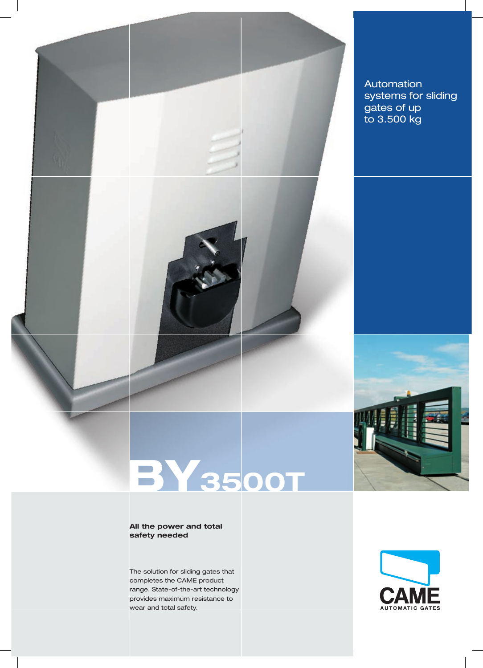

**Automation** systems for sliding gates of up to 3.500 kg

# **All the power and total safety needed**

The solution for sliding gates that completes the CAME product range. State-of-the-art technology provides maximum resistance to wear and total safety.